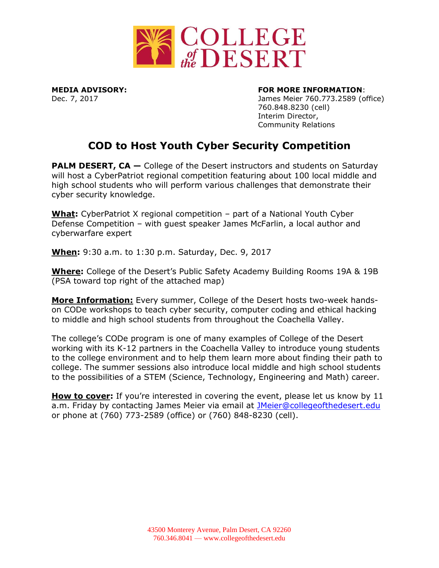

## **MEDIA ADVISORY: FOR MORE INFORMATION**:

Dec. 7, 2017 James Meier 760.773.2589 (office) 760.848.8230 (cell) Interim Director, Community Relations

## **COD to Host Youth Cyber Security Competition**

**PALM DESERT, CA** – College of the Desert instructors and students on Saturday will host a CyberPatriot regional competition featuring about 100 local middle and high school students who will perform various challenges that demonstrate their cyber security knowledge.

**What:** CyberPatriot X regional competition – part of a National Youth Cyber Defense Competition – with guest speaker James McFarlin, a local author and cyberwarfare expert

**When:** 9:30 a.m. to 1:30 p.m. Saturday, Dec. 9, 2017

**Where:** College of the Desert's Public Safety Academy Building Rooms 19A & 19B (PSA toward top right of the attached map)

**More Information:** Every summer, College of the Desert hosts two-week handson CODe workshops to teach cyber security, computer coding and ethical hacking to middle and high school students from throughout the Coachella Valley.

The college's CODe program is one of many examples of College of the Desert working with its K-12 partners in the Coachella Valley to introduce young students to the college environment and to help them learn more about finding their path to college. The summer sessions also introduce local middle and high school students to the possibilities of a STEM (Science, Technology, Engineering and Math) career.

**How to cover:** If you're interested in covering the event, please let us know by 11 a.m. Friday by contacting James Meier via email at [JMeier@collegeofthedesert.edu](mailto:JMeier@collegeofthedesert.edu) or phone at (760) 773-2589 (office) or (760) 848-8230 (cell).